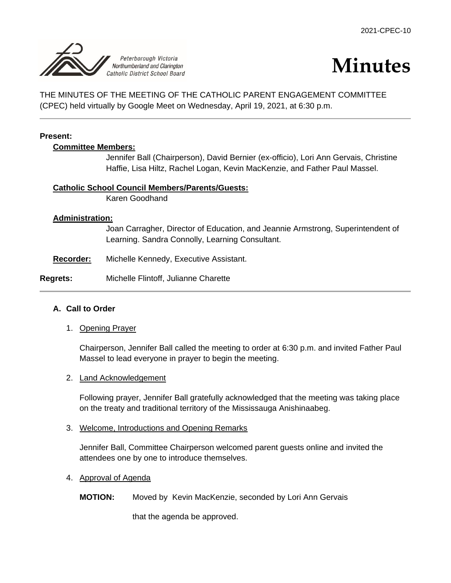

# **Minutes**

THE MINUTES OF THE MEETING OF THE CATHOLIC PARENT ENGAGEMENT COMMITTEE (CPEC) held virtually by Google Meet on Wednesday, April 19, 2021, at 6:30 p.m.

#### **Present:**

#### **Committee Members:**

Jennifer Ball (Chairperson), David Bernier (ex-officio), Lori Ann Gervais, Christine Haffie, Lisa Hiltz, Rachel Logan, Kevin MacKenzie, and Father Paul Massel.

#### **Catholic School Council Members/Parents/Guests:**

Karen Goodhand

#### **Administration:**

Joan Carragher, Director of Education, and Jeannie Armstrong, Superintendent of Learning. Sandra Connolly, Learning Consultant.

**Recorder:** Michelle Kennedy, Executive Assistant.

## **Regrets:** Michelle Flintoff, Julianne Charette

## **A. Call to Order**

1. Opening Prayer

Chairperson, Jennifer Ball called the meeting to order at 6:30 p.m. and invited Father Paul Massel to lead everyone in prayer to begin the meeting.

#### 2. Land Acknowledgement

Following prayer, Jennifer Ball gratefully acknowledged that the meeting was taking place on the treaty and traditional territory of the Mississauga Anishinaabeg.

#### 3. Welcome, Introductions and Opening Remarks

Jennifer Ball, Committee Chairperson welcomed parent guests online and invited the attendees one by one to introduce themselves.

## 4. Approval of Agenda

## **MOTION:** Moved by Kevin MacKenzie, seconded by Lori Ann Gervais

that the agenda be approved.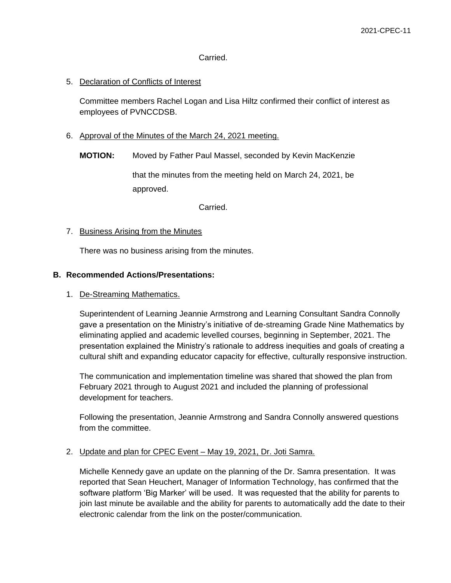#### Carried.

## 5. Declaration of Conflicts of Interest

Committee members Rachel Logan and Lisa Hiltz confirmed their conflict of interest as employees of PVNCCDSB.

- 6. Approval of the Minutes of the March 24, 2021 meeting.
	- **MOTION:** Moved by Father Paul Massel, seconded by Kevin MacKenzie

that the minutes from the meeting held on March 24, 2021, be approved.

Carried.

#### 7. Business Arising from the Minutes

There was no business arising from the minutes.

#### **B. Recommended Actions/Presentations:**

### 1. De-Streaming Mathematics.

Superintendent of Learning Jeannie Armstrong and Learning Consultant Sandra Connolly gave a presentation on the Ministry's initiative of de-streaming Grade Nine Mathematics by eliminating applied and academic levelled courses, beginning in September, 2021. The presentation explained the Ministry's rationale to address inequities and goals of creating a cultural shift and expanding educator capacity for effective, culturally responsive instruction.

The communication and implementation timeline was shared that showed the plan from February 2021 through to August 2021 and included the planning of professional development for teachers.

Following the presentation, Jeannie Armstrong and Sandra Connolly answered questions from the committee.

## 2. Update and plan for CPEC Event – May 19, 2021, Dr. Joti Samra.

Michelle Kennedy gave an update on the planning of the Dr. Samra presentation. It was reported that Sean Heuchert, Manager of Information Technology, has confirmed that the software platform 'Big Marker' will be used. It was requested that the ability for parents to join last minute be available and the ability for parents to automatically add the date to their electronic calendar from the link on the poster/communication.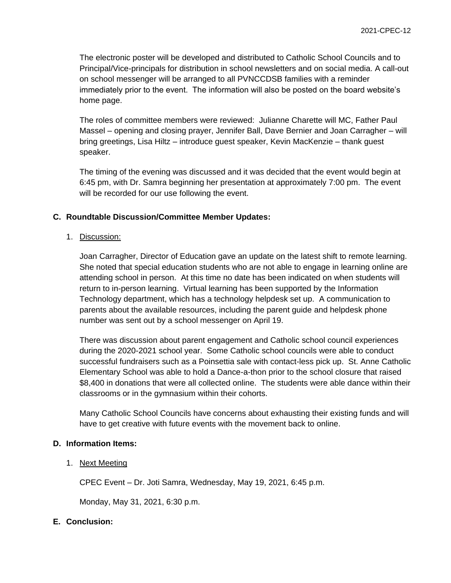The electronic poster will be developed and distributed to Catholic School Councils and to Principal/Vice-principals for distribution in school newsletters and on social media. A call-out on school messenger will be arranged to all PVNCCDSB families with a reminder immediately prior to the event. The information will also be posted on the board website's home page.

The roles of committee members were reviewed: Julianne Charette will MC, Father Paul Massel – opening and closing prayer, Jennifer Ball, Dave Bernier and Joan Carragher – will bring greetings, Lisa Hiltz – introduce guest speaker, Kevin MacKenzie – thank guest speaker.

The timing of the evening was discussed and it was decided that the event would begin at 6:45 pm, with Dr. Samra beginning her presentation at approximately 7:00 pm. The event will be recorded for our use following the event.

#### **C. Roundtable Discussion/Committee Member Updates:**

1. Discussion:

Joan Carragher, Director of Education gave an update on the latest shift to remote learning. She noted that special education students who are not able to engage in learning online are attending school in person. At this time no date has been indicated on when students will return to in-person learning. Virtual learning has been supported by the Information Technology department, which has a technology helpdesk set up. A communication to parents about the available resources, including the parent guide and helpdesk phone number was sent out by a school messenger on April 19.

There was discussion about parent engagement and Catholic school council experiences during the 2020-2021 school year. Some Catholic school councils were able to conduct successful fundraisers such as a Poinsettia sale with contact-less pick up. St. Anne Catholic Elementary School was able to hold a Dance-a-thon prior to the school closure that raised \$8,400 in donations that were all collected online. The students were able dance within their classrooms or in the gymnasium within their cohorts.

Many Catholic School Councils have concerns about exhausting their existing funds and will have to get creative with future events with the movement back to online.

#### **D. Information Items:**

1. Next Meeting

CPEC Event – Dr. Joti Samra, Wednesday, May 19, 2021, 6:45 p.m.

Monday, May 31, 2021, 6:30 p.m.

## **E. Conclusion:**